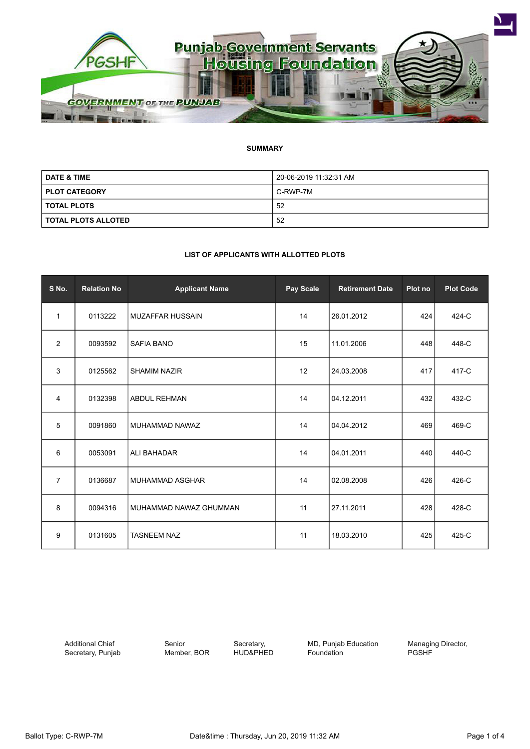

#### **SUMMARY**

| <b>DATE &amp; TIME</b> | 20-06-2019 11:32:31 AM |  |
|------------------------|------------------------|--|
| <b>PLOT CATEGORY</b>   | C-RWP-7M               |  |
| I TOTAL PLOTS          | 52                     |  |
| I TOTAL PLOTS ALLOTED  | 52                     |  |

#### **LIST OF APPLICANTS WITH ALLOTTED PLOTS**

| S No.          | <b>Relation No</b> | <b>Applicant Name</b>   | Pay Scale | <b>Retirement Date</b> | Plot no | <b>Plot Code</b> |
|----------------|--------------------|-------------------------|-----------|------------------------|---------|------------------|
| 1              | 0113222            | <b>MUZAFFAR HUSSAIN</b> | 14        | 26.01.2012             | 424     | 424-C            |
| $\overline{2}$ | 0093592            | <b>SAFIA BANO</b>       | 15        | 11.01.2006             | 448     | 448-C            |
| 3              | 0125562            | <b>SHAMIM NAZIR</b>     | 12        | 24.03.2008             | 417     | 417-C            |
| 4              | 0132398            | <b>ABDUL REHMAN</b>     | 14        | 04.12.2011             | 432     | 432-C            |
| 5              | 0091860            | MUHAMMAD NAWAZ          | 14        | 04.04.2012             | 469     | 469-C            |
| 6              | 0053091            | <b>ALI BAHADAR</b>      | 14        | 04.01.2011             | 440     | 440-C            |
| $\overline{7}$ | 0136687            | <b>MUHAMMAD ASGHAR</b>  | 14        | 02.08.2008             | 426     | 426-C            |
| 8              | 0094316            | MUHAMMAD NAWAZ GHUMMAN  | 11        | 27.11.2011             | 428     | 428-C            |
| 9              | 0131605            | <b>TASNEEM NAZ</b>      | 11        | 18.03.2010             | 425     | 425-C            |

Additional Chief Secretary, Punjab Senior Member, BOR

Secretary, HUD&PHED MD, Punjab Education Foundation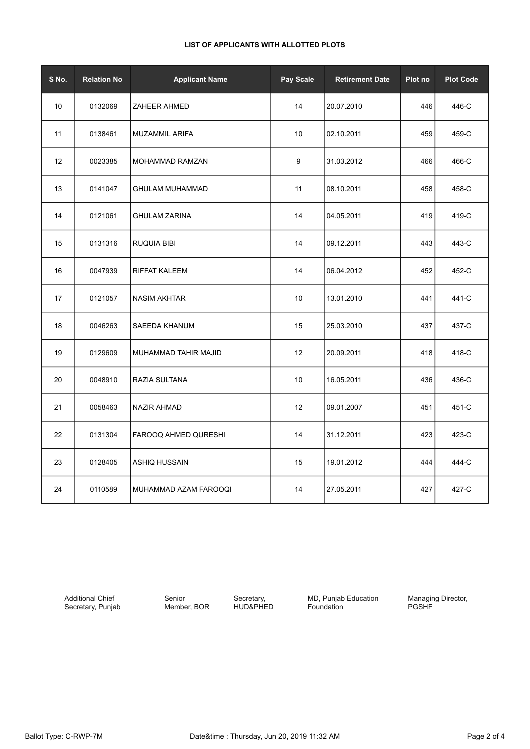# **LIST OF APPLICANTS WITH ALLOTTED PLOTS**

| S No. | <b>Relation No</b> | <b>Applicant Name</b>  | Pay Scale | <b>Retirement Date</b> | Plot no | <b>Plot Code</b> |
|-------|--------------------|------------------------|-----------|------------------------|---------|------------------|
| 10    | 0132069            | <b>ZAHEER AHMED</b>    | 14        | 20.07.2010             | 446     | 446-C            |
| 11    | 0138461            | MUZAMMIL ARIFA         | 10        | 02.10.2011             | 459     | 459-C            |
| 12    | 0023385            | MOHAMMAD RAMZAN        | 9         | 31.03.2012             | 466     | 466-C            |
| 13    | 0141047            | <b>GHULAM MUHAMMAD</b> | 11        | 08.10.2011             | 458     | 458-C            |
| 14    | 0121061            | <b>GHULAM ZARINA</b>   | 14        | 04.05.2011             | 419     | 419-C            |
| 15    | 0131316            | RUQUIA BIBI            | 14        | 09.12.2011             | 443     | 443-C            |
| 16    | 0047939            | <b>RIFFAT KALEEM</b>   | 14        | 06.04.2012             | 452     | 452-C            |
| 17    | 0121057            | <b>NASIM AKHTAR</b>    | 10        | 13.01.2010             | 441     | 441-C            |
| 18    | 0046263            | SAEEDA KHANUM          | 15        | 25.03.2010             | 437     | 437-C            |
| 19    | 0129609            | MUHAMMAD TAHIR MAJID   | 12        | 20.09.2011             | 418     | 418-C            |
| 20    | 0048910            | RAZIA SULTANA          | 10        | 16.05.2011             | 436     | 436-C            |
| 21    | 0058463            | <b>NAZIR AHMAD</b>     | 12        | 09.01.2007             | 451     | 451-C            |
| 22    | 0131304            | FAROOQ AHMED QURESHI   | 14        | 31.12.2011             | 423     | 423-C            |
| 23    | 0128405            | ASHIQ HUSSAIN          | 15        | 19.01.2012             | 444     | 444-C            |
| 24    | 0110589            | MUHAMMAD AZAM FAROOQI  | 14        | 27.05.2011             | 427     | 427-C            |

Additional Chief Secretary, Punjab

Senior Member, BOR

Secretary, HUD&PHED MD, Punjab Education Foundation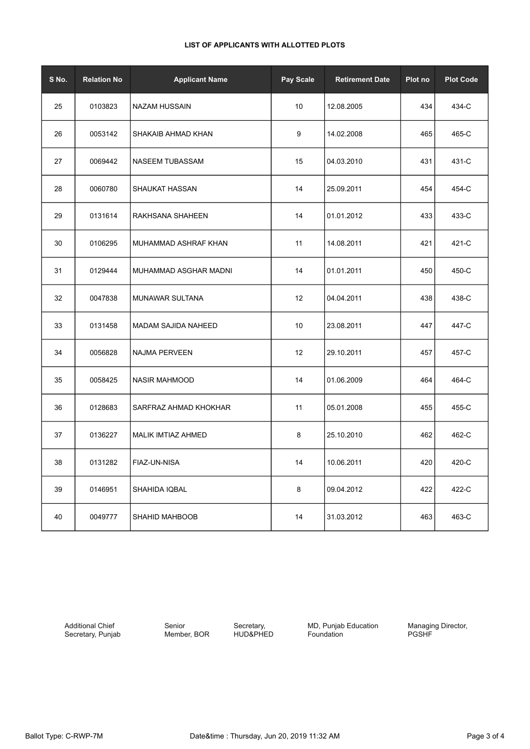# **LIST OF APPLICANTS WITH ALLOTTED PLOTS**

| S No. | <b>Relation No</b> | <b>Applicant Name</b>      | Pay Scale | <b>Retirement Date</b> | Plot no | <b>Plot Code</b> |
|-------|--------------------|----------------------------|-----------|------------------------|---------|------------------|
| 25    | 0103823            | <b>NAZAM HUSSAIN</b>       | 10        | 12.08.2005             | 434     | 434-C            |
| 26    | 0053142            | SHAKAIB AHMAD KHAN         | 9         | 14.02.2008             | 465     | 465-C            |
| 27    | 0069442            | NASEEM TUBASSAM            | 15        | 04.03.2010             | 431     | 431-C            |
| 28    | 0060780            | <b>SHAUKAT HASSAN</b>      | 14        | 25.09.2011             | 454     | 454-C            |
| 29    | 0131614            | RAKHSANA SHAHEEN           | 14        | 01.01.2012             | 433     | 433-C            |
| 30    | 0106295            | MUHAMMAD ASHRAF KHAN       | 11        | 14.08.2011             | 421     | 421-C            |
| 31    | 0129444            | MUHAMMAD ASGHAR MADNI      | 14        | 01.01.2011             | 450     | 450-C            |
| 32    | 0047838            | MUNAWAR SULTANA            | 12        | 04.04.2011             | 438     | 438-C            |
| 33    | 0131458            | <b>MADAM SAJIDA NAHEED</b> | 10        | 23.08.2011             | 447     | 447-C            |
| 34    | 0056828            | <b>NAJMA PERVEEN</b>       | 12        | 29.10.2011             | 457     | 457-C            |
| 35    | 0058425            | <b>NASIR MAHMOOD</b>       | 14        | 01.06.2009             | 464     | 464-C            |
| 36    | 0128683            | SARFRAZ AHMAD KHOKHAR      | 11        | 05.01.2008             | 455     | 455-C            |
| 37    | 0136227            | MALIK IMTIAZ AHMED         | 8         | 25.10.2010             | 462     | 462-C            |
| 38    | 0131282            | FIAZ-UN-NISA               | 14        | 10.06.2011             | 420     | 420-C            |
| 39    | 0146951            | SHAHIDA IQBAL              | 8         | 09.04.2012             | 422     | 422-C            |
| 40    | 0049777            | SHAHID MAHBOOB             | 14        | 31.03.2012             | 463     | 463-C            |

Additional Chief Secretary, Punjab Senior Member, BOR

Secretary, HUD&PHED **MD, Punjab Education** Foundation